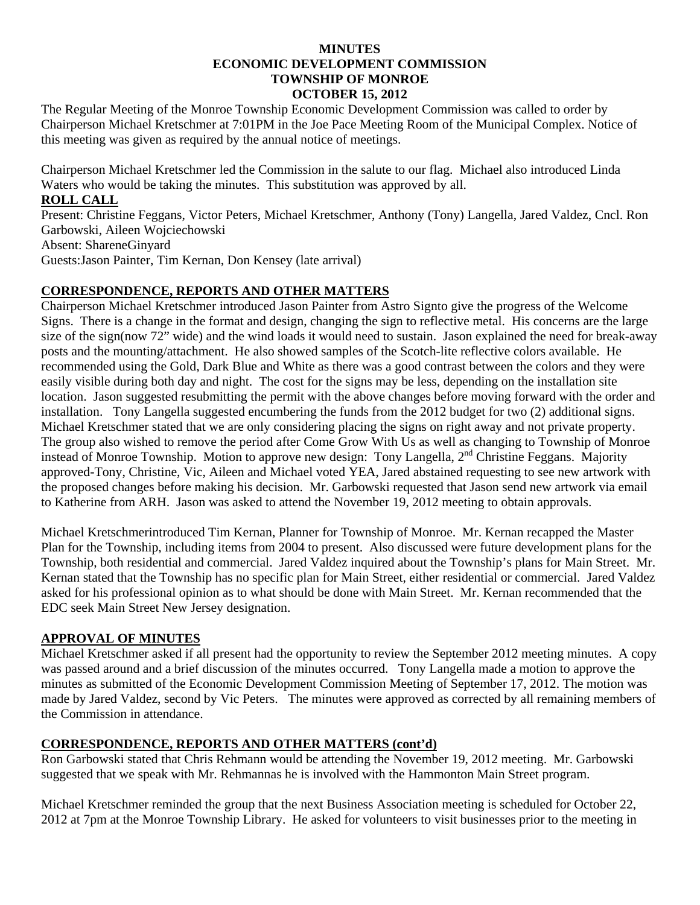#### **MINUTES ECONOMIC DEVELOPMENT COMMISSION TOWNSHIP OF MONROE OCTOBER 15, 2012**

The Regular Meeting of the Monroe Township Economic Development Commission was called to order by Chairperson Michael Kretschmer at 7:01PM in the Joe Pace Meeting Room of the Municipal Complex. Notice of this meeting was given as required by the annual notice of meetings.

Chairperson Michael Kretschmer led the Commission in the salute to our flag. Michael also introduced Linda Waters who would be taking the minutes. This substitution was approved by all.

### **ROLL CALL**

Present: Christine Feggans, Victor Peters, Michael Kretschmer, Anthony (Tony) Langella, Jared Valdez, Cncl. Ron Garbowski, Aileen Wojciechowski Absent: ShareneGinyard Guests:Jason Painter, Tim Kernan, Don Kensey (late arrival)

## **CORRESPONDENCE, REPORTS AND OTHER MATTERS**

Chairperson Michael Kretschmer introduced Jason Painter from Astro Signto give the progress of the Welcome Signs. There is a change in the format and design, changing the sign to reflective metal. His concerns are the large size of the sign(now 72" wide) and the wind loads it would need to sustain. Jason explained the need for break-away posts and the mounting/attachment. He also showed samples of the Scotch-lite reflective colors available. He recommended using the Gold, Dark Blue and White as there was a good contrast between the colors and they were easily visible during both day and night. The cost for the signs may be less, depending on the installation site location. Jason suggested resubmitting the permit with the above changes before moving forward with the order and installation. Tony Langella suggested encumbering the funds from the 2012 budget for two (2) additional signs. Michael Kretschmer stated that we are only considering placing the signs on right away and not private property. The group also wished to remove the period after Come Grow With Us as well as changing to Township of Monroe instead of Monroe Township. Motion to approve new design: Tony Langella, 2<sup>nd</sup> Christine Feggans. Majority approved-Tony, Christine, Vic, Aileen and Michael voted YEA, Jared abstained requesting to see new artwork with the proposed changes before making his decision. Mr. Garbowski requested that Jason send new artwork via email to Katherine from ARH. Jason was asked to attend the November 19, 2012 meeting to obtain approvals.

Michael Kretschmerintroduced Tim Kernan, Planner for Township of Monroe. Mr. Kernan recapped the Master Plan for the Township, including items from 2004 to present. Also discussed were future development plans for the Township, both residential and commercial. Jared Valdez inquired about the Township's plans for Main Street. Mr. Kernan stated that the Township has no specific plan for Main Street, either residential or commercial. Jared Valdez asked for his professional opinion as to what should be done with Main Street. Mr. Kernan recommended that the EDC seek Main Street New Jersey designation.

### **APPROVAL OF MINUTES**

Michael Kretschmer asked if all present had the opportunity to review the September 2012 meeting minutes. A copy was passed around and a brief discussion of the minutes occurred. Tony Langella made a motion to approve the minutes as submitted of the Economic Development Commission Meeting of September 17, 2012. The motion was made by Jared Valdez, second by Vic Peters. The minutes were approved as corrected by all remaining members of the Commission in attendance.

# **CORRESPONDENCE, REPORTS AND OTHER MATTERS (cont'd)**

Ron Garbowski stated that Chris Rehmann would be attending the November 19, 2012 meeting. Mr. Garbowski suggested that we speak with Mr. Rehmannas he is involved with the Hammonton Main Street program.

Michael Kretschmer reminded the group that the next Business Association meeting is scheduled for October 22, 2012 at 7pm at the Monroe Township Library. He asked for volunteers to visit businesses prior to the meeting in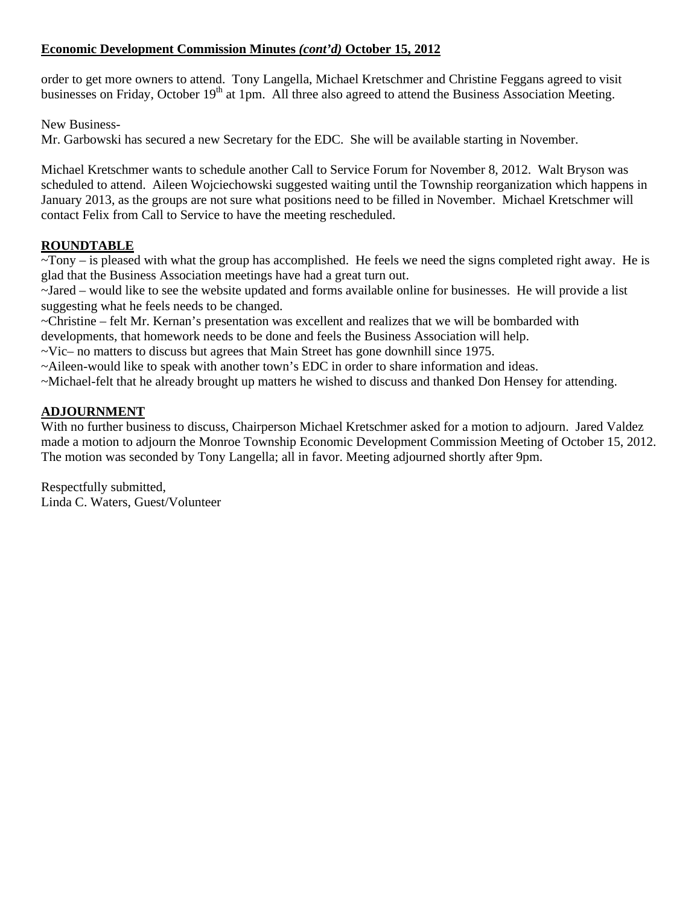# **Economic Development Commission Minutes** *(cont'd)* **October 15, 2012**

order to get more owners to attend. Tony Langella, Michael Kretschmer and Christine Feggans agreed to visit businesses on Friday, October 19<sup>th</sup> at 1pm. All three also agreed to attend the Business Association Meeting.

New Business-

Mr. Garbowski has secured a new Secretary for the EDC. She will be available starting in November.

Michael Kretschmer wants to schedule another Call to Service Forum for November 8, 2012. Walt Bryson was scheduled to attend. Aileen Wojciechowski suggested waiting until the Township reorganization which happens in January 2013, as the groups are not sure what positions need to be filled in November. Michael Kretschmer will contact Felix from Call to Service to have the meeting rescheduled.

## **ROUNDTABLE**

 $\sim$ Tony – is pleased with what the group has accomplished. He feels we need the signs completed right away. He is glad that the Business Association meetings have had a great turn out.

~Jared – would like to see the website updated and forms available online for businesses. He will provide a list suggesting what he feels needs to be changed.

~Christine – felt Mr. Kernan's presentation was excellent and realizes that we will be bombarded with

developments, that homework needs to be done and feels the Business Association will help.

 $\sim$ Vic– no matters to discuss but agrees that Main Street has gone downhill since 1975.

~Aileen-would like to speak with another town's EDC in order to share information and ideas.

~Michael-felt that he already brought up matters he wished to discuss and thanked Don Hensey for attending.

### **ADJOURNMENT**

With no further business to discuss, Chairperson Michael Kretschmer asked for a motion to adjourn. Jared Valdez made a motion to adjourn the Monroe Township Economic Development Commission Meeting of October 15, 2012. The motion was seconded by Tony Langella; all in favor. Meeting adjourned shortly after 9pm.

Respectfully submitted, Linda C. Waters, Guest/Volunteer